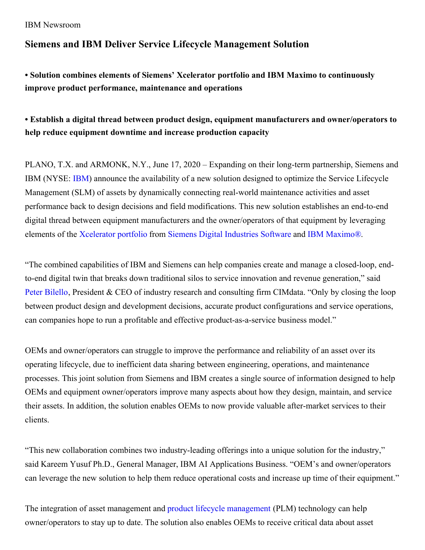## IBM Newsroom

## **Siemens and IBM Deliver Service Lifecycle Management Solution**

**• Solution combines elements of Siemens' Xcelerator portfolio and IBM Maximo to continuously improve product performance, maintenance and operations**

## **• Establish a digital thread between product design, equipment manufacturers and owner/operators to help reduce equipment downtime and increase production capacity**

PLANO, T.X. and ARMONK, N.Y., June 17, 2020 – Expanding on their long-term partnership, Siemens and IBM (NYSE: [IBM](https://c212.net/c/link/?t=0&l=en&o=2799786-1&h=4131494107&u=http%3A%2F%2Fwww.ibm.com%2Finvestor&a=IBM)) announce the availability of a new solution designed to optimize the Service Lifecycle Management (SLM) of assets by dynamically connecting real-world maintenance activities and asset performance back to design decisions and field modifications. This new solution establishes an end-to-end digital thread between equipment manufacturers and the owner/operators of that equipment by leveraging elements of the [Xcelerator](https://www.sw.siemens.com/portfolio/) portfolio from Siemens Digital [Industries](https://www.sw.siemens.com/) Software and IBM [Maximo®](https://www.ibm.com/products/maximo).

"The combined capabilities of IBM and Siemens can help companies create and manage a closed-loop, endto-end digital twin that breaks down traditional silos to service innovation and revenue generation," said Peter [Bilello](https://www.cimdata.com/en/speaker-bios/bilello), President & CEO of industry research and consulting firm CIMdata. "Only by closing the loop between product design and development decisions, accurate product configurations and service operations, can companies hope to run a profitable and effective product-as-a-service business model."

OEMs and owner/operators can struggle to improve the performance and reliability of an asset over its operating lifecycle, due to inefficient data sharing between engineering, operations, and maintenance processes. This joint solution from Siemens and IBM creates a single source of information designed to help OEMs and equipment owner/operators improve many aspects about how they design, maintain, and service their assets. In addition, the solution enables OEMs to now provide valuable after-market services to their clients.

"This new collaboration combines two industry-leading offerings into a unique solution for the industry," said Kareem Yusuf Ph.D., General Manager, IBM AI Applications Business. "OEM's and owner/operators can leverage the new solution to help them reduce operational costs and increase up time of their equipment."

The integration of asset management and product lifecycle [management](https://www.plm.automation.siemens.com/global/en/our-story/glossary/product-lifecycle-management-plm-software/12506) (PLM) technology can help owner/operators to stay up to date. The solution also enables OEMs to receive critical data about asset